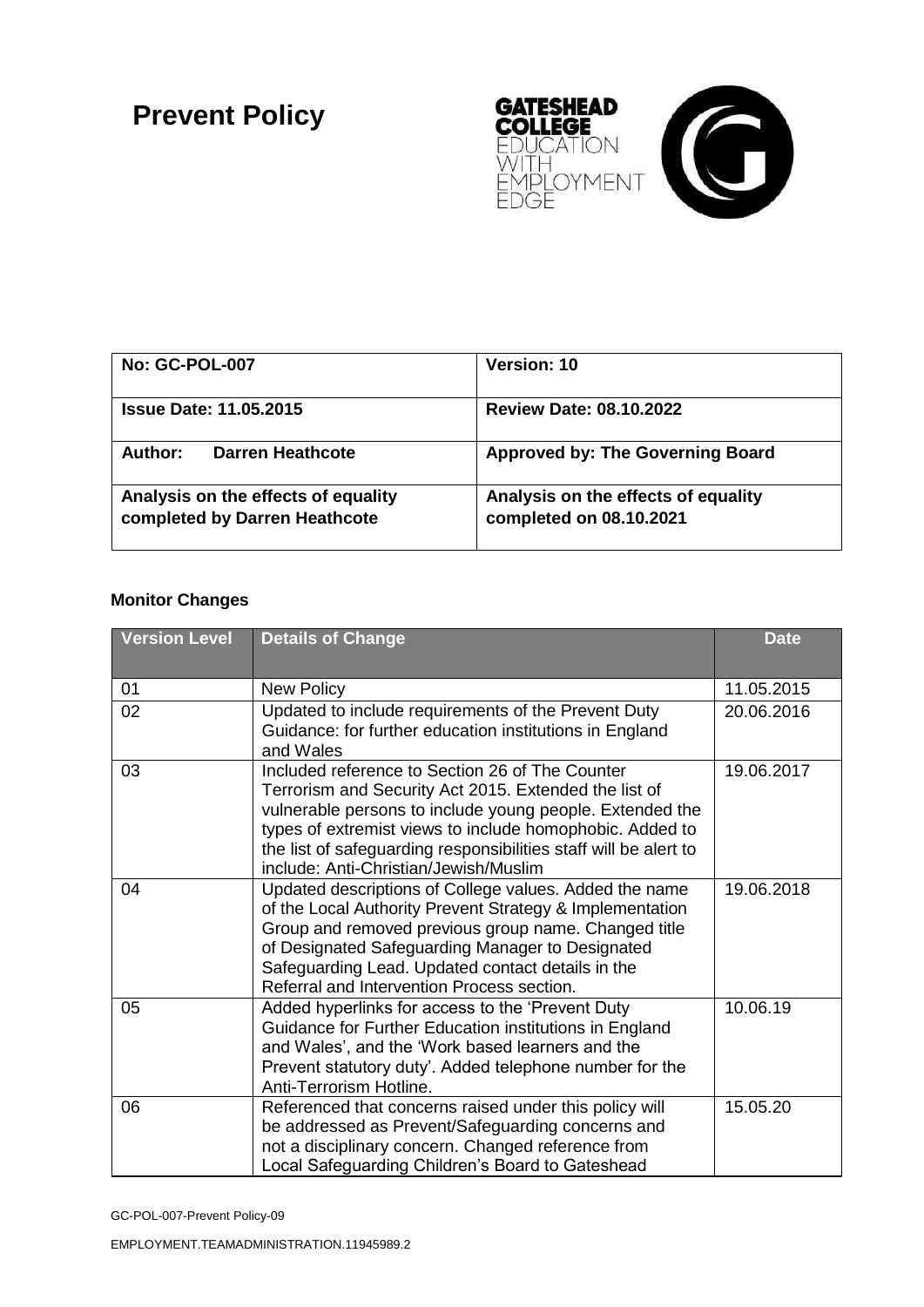## **Prevent Policy**



| <b>No: GC-POL-007</b>                                                | Version: 10                                                    |
|----------------------------------------------------------------------|----------------------------------------------------------------|
| <b>Issue Date: 11.05.2015</b>                                        | <b>Review Date: 08.10.2022</b>                                 |
| Darren Heathcote<br>Author:                                          | <b>Approved by: The Governing Board</b>                        |
| Analysis on the effects of equality<br>completed by Darren Heathcote | Analysis on the effects of equality<br>completed on 08.10.2021 |

## **Monitor Changes**

| <b>Version Level</b> | <b>Details of Change</b>                                                                                                                                                                                                                                                                                                                      | <b>Date</b> |
|----------------------|-----------------------------------------------------------------------------------------------------------------------------------------------------------------------------------------------------------------------------------------------------------------------------------------------------------------------------------------------|-------------|
| 01                   | <b>New Policy</b>                                                                                                                                                                                                                                                                                                                             | 11.05.2015  |
| 02                   | Updated to include requirements of the Prevent Duty<br>Guidance: for further education institutions in England<br>and Wales                                                                                                                                                                                                                   | 20.06.2016  |
| 03                   | Included reference to Section 26 of The Counter<br>Terrorism and Security Act 2015. Extended the list of<br>vulnerable persons to include young people. Extended the<br>types of extremist views to include homophobic. Added to<br>the list of safeguarding responsibilities staff will be alert to<br>include: Anti-Christian/Jewish/Muslim | 19.06.2017  |
| 04                   | Updated descriptions of College values. Added the name<br>of the Local Authority Prevent Strategy & Implementation<br>Group and removed previous group name. Changed title<br>of Designated Safeguarding Manager to Designated<br>Safeguarding Lead. Updated contact details in the<br>Referral and Intervention Process section.             | 19.06.2018  |
| 05                   | Added hyperlinks for access to the 'Prevent Duty<br>Guidance for Further Education institutions in England<br>and Wales', and the 'Work based learners and the<br>Prevent statutory duty'. Added telephone number for the<br>Anti-Terrorism Hotline.                                                                                          | 10.06.19    |
| 06                   | Referenced that concerns raised under this policy will<br>be addressed as Prevent/Safeguarding concerns and<br>not a disciplinary concern. Changed reference from<br>Local Safeguarding Children's Board to Gateshead                                                                                                                         | 15.05.20    |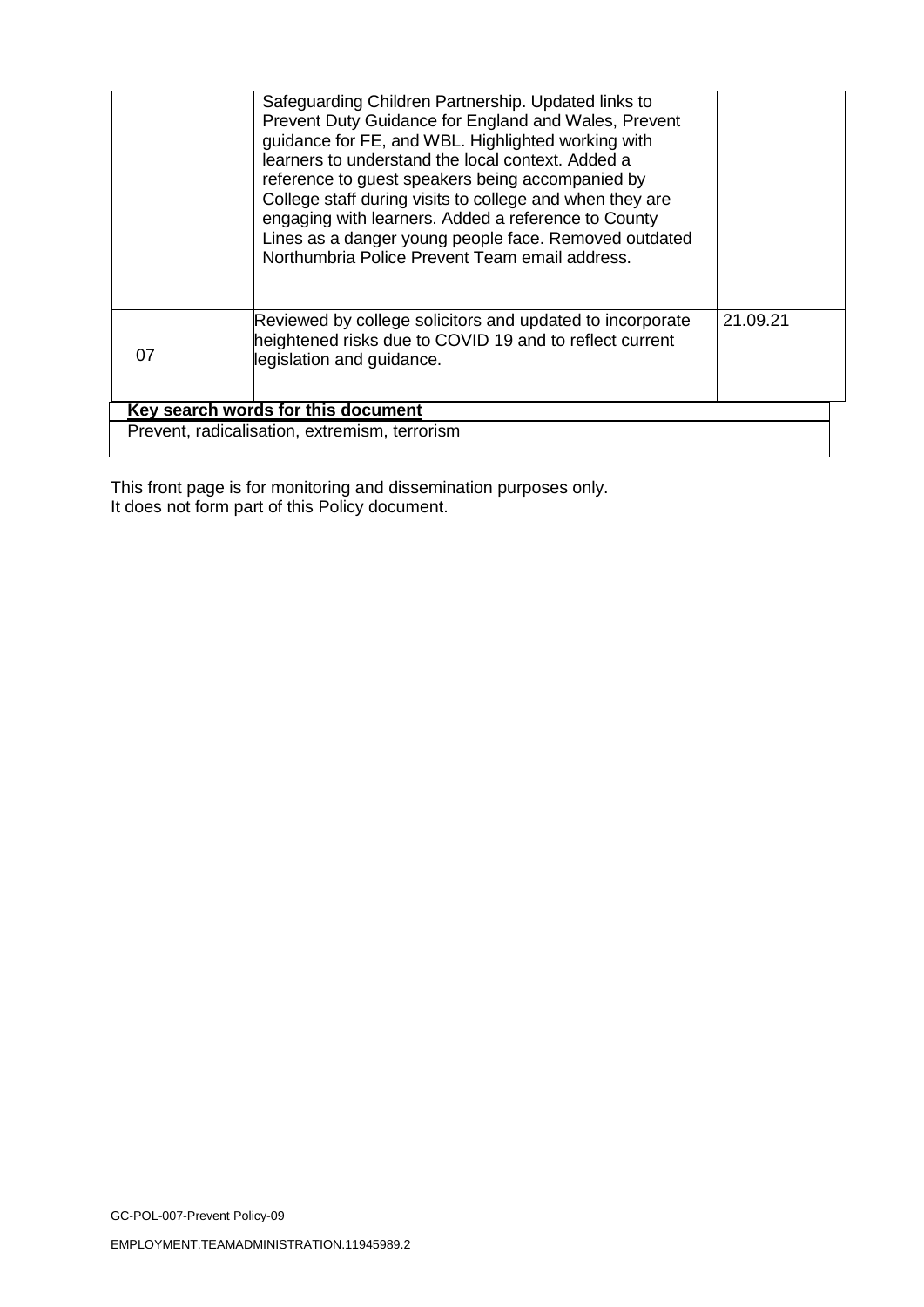|                                               | Safeguarding Children Partnership. Updated links to<br>Prevent Duty Guidance for England and Wales, Prevent<br>guidance for FE, and WBL. Highlighted working with<br>learners to understand the local context. Added a<br>reference to guest speakers being accompanied by<br>College staff during visits to college and when they are<br>engaging with learners. Added a reference to County<br>Lines as a danger young people face. Removed outdated<br>Northumbria Police Prevent Team email address. |          |  |
|-----------------------------------------------|----------------------------------------------------------------------------------------------------------------------------------------------------------------------------------------------------------------------------------------------------------------------------------------------------------------------------------------------------------------------------------------------------------------------------------------------------------------------------------------------------------|----------|--|
| 07                                            | Reviewed by college solicitors and updated to incorporate<br>heightened risks due to COVID 19 and to reflect current<br>legislation and guidance.                                                                                                                                                                                                                                                                                                                                                        | 21.09.21 |  |
| Key search words for this document            |                                                                                                                                                                                                                                                                                                                                                                                                                                                                                                          |          |  |
| Prevent, radicalisation, extremism, terrorism |                                                                                                                                                                                                                                                                                                                                                                                                                                                                                                          |          |  |
|                                               |                                                                                                                                                                                                                                                                                                                                                                                                                                                                                                          |          |  |

This front page is for monitoring and dissemination purposes only. It does not form part of this Policy document.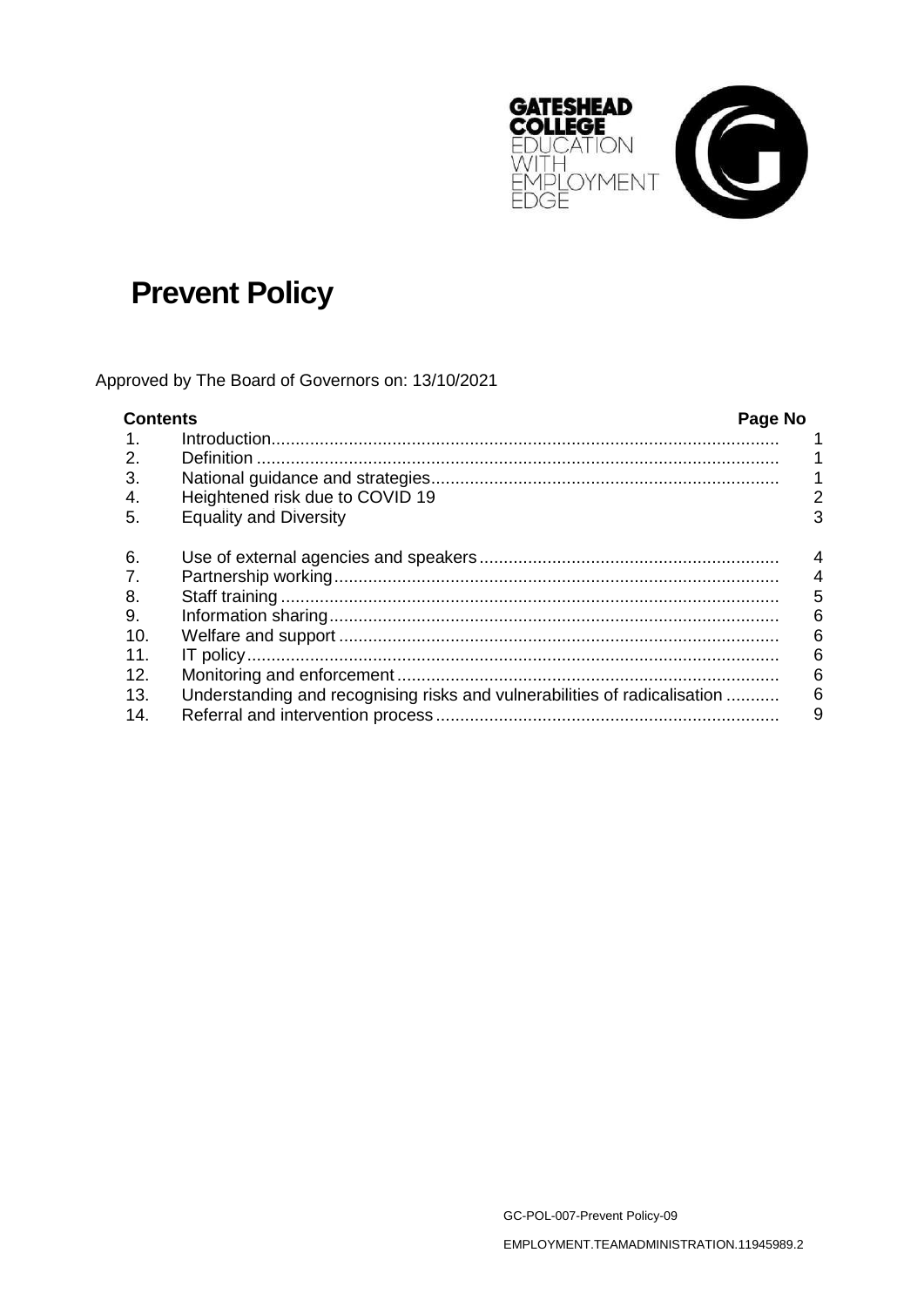

# **Prevent Policy**

Approved by The Board of Governors on: 13/10/2021

| <b>Contents</b> |                                                                           | Page No |   |
|-----------------|---------------------------------------------------------------------------|---------|---|
| $\mathbf{1}$ .  |                                                                           |         |   |
| 2.              |                                                                           |         |   |
| 3.              |                                                                           |         |   |
| 4.              | Heightened risk due to COVID 19                                           |         | 2 |
| 5.              | <b>Equality and Diversity</b>                                             |         | 3 |
| 6.              |                                                                           |         | 4 |
| 7.              |                                                                           |         | 4 |
| 8.              |                                                                           |         | 5 |
| 9.              |                                                                           |         | 6 |
| 10 <sub>1</sub> |                                                                           |         | 6 |
| 11.             |                                                                           |         | 6 |
| 12.             |                                                                           |         | 6 |
| 13.             | Understanding and recognising risks and vulnerabilities of radicalisation |         | 6 |
| 14.             |                                                                           |         | 9 |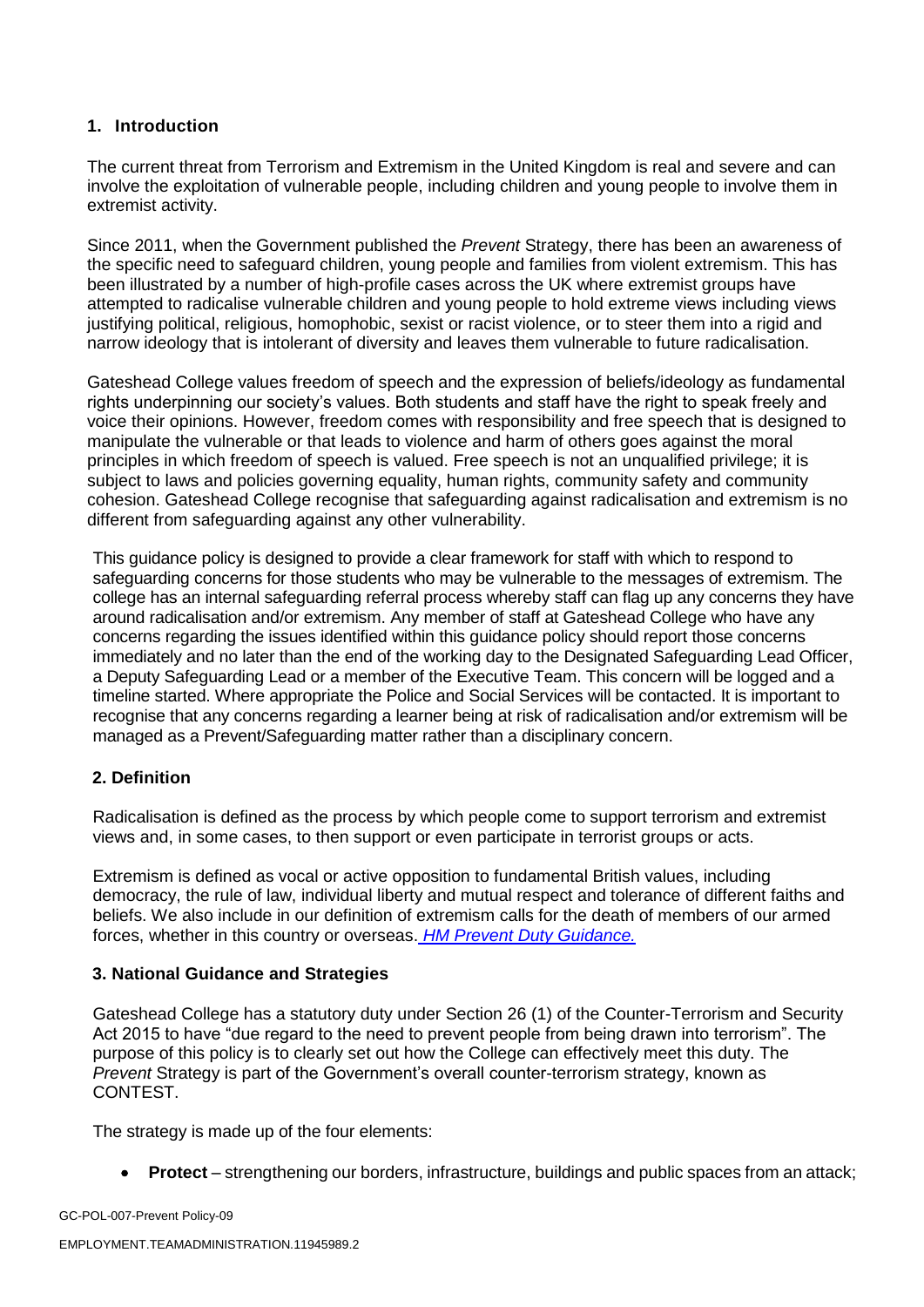#### **1. Introduction**

The current threat from Terrorism and Extremism in the United Kingdom is real and severe and can involve the exploitation of vulnerable people, including children and young people to involve them in extremist activity.

Since 2011, when the Government published the *Prevent* Strategy, there has been an awareness of the specific need to safeguard children, young people and families from violent extremism. This has been illustrated by a number of high-profile cases across the UK where extremist groups have attempted to radicalise vulnerable children and young people to hold extreme views including views justifying political, religious, homophobic, sexist or racist violence, or to steer them into a rigid and narrow ideology that is intolerant of diversity and leaves them vulnerable to future radicalisation.

Gateshead College values freedom of speech and the expression of beliefs/ideology as fundamental rights underpinning our society's values. Both students and staff have the right to speak freely and voice their opinions. However, freedom comes with responsibility and free speech that is designed to manipulate the vulnerable or that leads to violence and harm of others goes against the moral principles in which freedom of speech is valued. Free speech is not an unqualified privilege; it is subject to laws and policies governing equality, human rights, community safety and community cohesion. Gateshead College recognise that safeguarding against radicalisation and extremism is no different from safeguarding against any other vulnerability.

This guidance policy is designed to provide a clear framework for staff with which to respond to safeguarding concerns for those students who may be vulnerable to the messages of extremism. The college has an internal safeguarding referral process whereby staff can flag up any concerns they have around radicalisation and/or extremism. Any member of staff at Gateshead College who have any concerns regarding the issues identified within this guidance policy should report those concerns immediately and no later than the end of the working day to the Designated Safeguarding Lead Officer, a Deputy Safeguarding Lead or a member of the Executive Team. This concern will be logged and a timeline started. Where appropriate the Police and Social Services will be contacted. It is important to recognise that any concerns regarding a learner being at risk of radicalisation and/or extremism will be managed as a Prevent/Safeguarding matter rather than a disciplinary concern.

## **2. Definition**

Radicalisation is defined as the process by which people come to support terrorism and extremist views and, in some cases, to then support or even participate in terrorist groups or acts.

Extremism is defined as vocal or active opposition to fundamental British values, including democracy, the rule of law, individual liberty and mutual respect and tolerance of different faiths and beliefs. We also include in our definition of extremism calls for the death of members of our armed forces, whether in this country or overseas. *HM Prevent Duty Guidance.*

#### **3. National Guidance and Strategies**

Gateshead College has a statutory duty under Section 26 (1) of the Counter-Terrorism and Security Act 2015 to have "due regard to the need to prevent people from being drawn into terrorism". The purpose of this policy is to clearly set out how the College can effectively meet this duty. The *Prevent* Strategy is part of the Government's overall counter-terrorism strategy, known as CONTEST.

The strategy is made up of the four elements:

• **Protect** – strengthening our borders, infrastructure, buildings and public spaces from an attack;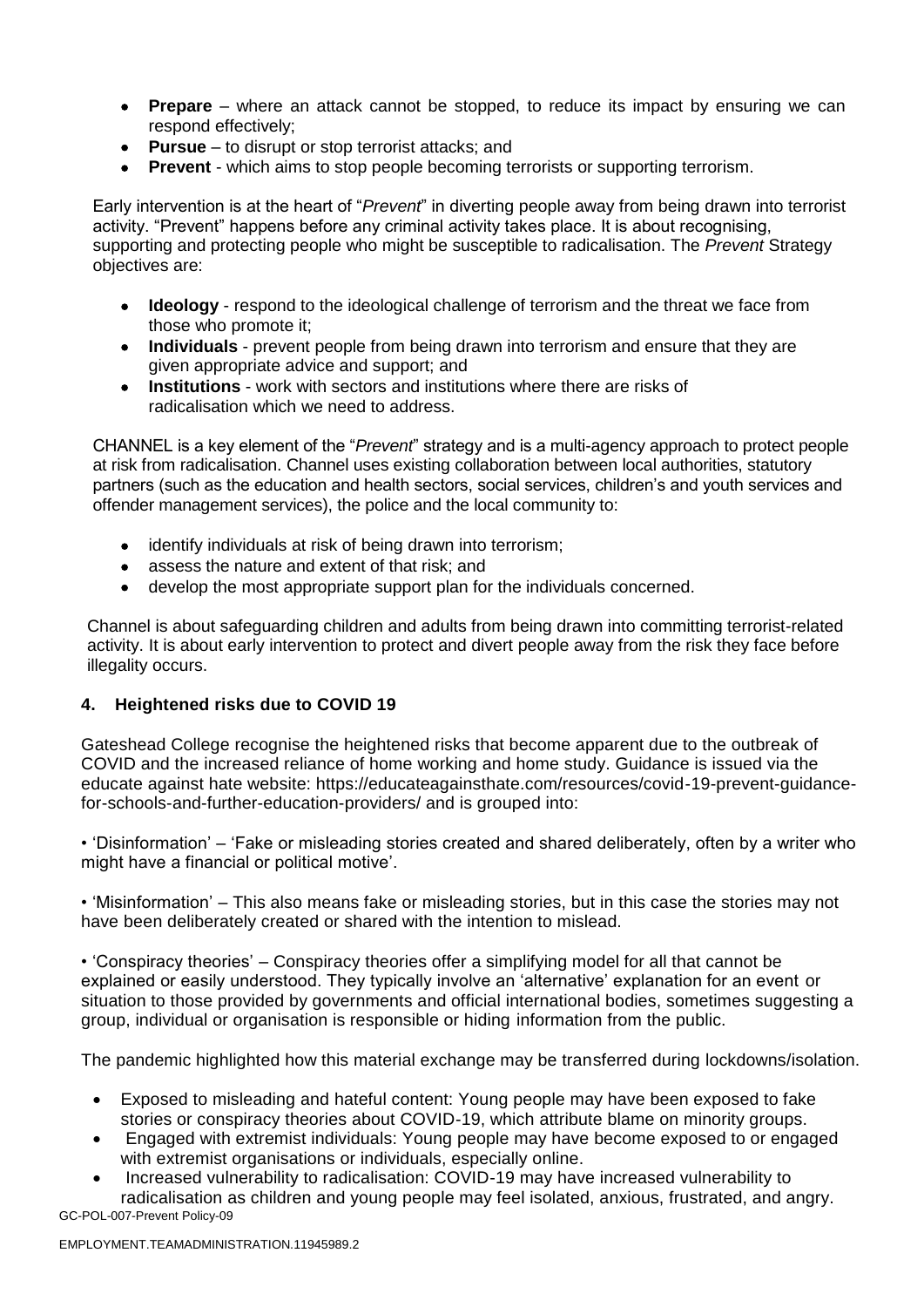- **Prepare** where an attack cannot be stopped, to reduce its impact by ensuring we can respond effectively;
- **Pursue**  to disrupt or stop terrorist attacks; and
- **Prevent**  which aims to stop people becoming terrorists or supporting terrorism.

Early intervention is at the heart of "*Prevent*" in diverting people away from being drawn into terrorist activity. "Prevent" happens before any criminal activity takes place. It is about recognising, supporting and protecting people who might be susceptible to radicalisation. The *Prevent* Strategy objectives are:

- **Ideology**  respond to the ideological challenge of terrorism and the threat we face from those who promote it;
- **Individuals**  prevent people from being drawn into terrorism and ensure that they are given appropriate advice and support; and
- **Institutions**  work with sectors and institutions where there are risks of radicalisation which we need to address.

CHANNEL is a key element of the "*Prevent*" strategy and is a multi-agency approach to protect people at risk from radicalisation. Channel uses existing collaboration between local authorities, statutory partners (such as the education and health sectors, social services, children's and youth services and offender management services), the police and the local community to:

- identify individuals at risk of being drawn into terrorism;
- assess the nature and extent of that risk; and
- develop the most appropriate support plan for the individuals concerned.

Channel is about safeguarding children and adults from being drawn into committing terrorist-related activity. It is about early intervention to protect and divert people away from the risk they face before illegality occurs.

## **4. Heightened risks due to COVID 19**

Gateshead College recognise the heightened risks that become apparent due to the outbreak of COVID and the increased reliance of home working and home study. Guidance is issued via the educate against hate website: https://educateagainsthate.com/resources/covid-19-prevent-guidancefor-schools-and-further-education-providers/ and is grouped into:

• 'Disinformation' – 'Fake or misleading stories created and shared deliberately, often by a writer who might have a financial or political motive'.

• 'Misinformation' – This also means fake or misleading stories, but in this case the stories may not have been deliberately created or shared with the intention to mislead.

• 'Conspiracy theories' – Conspiracy theories offer a simplifying model for all that cannot be explained or easily understood. They typically involve an 'alternative' explanation for an event or situation to those provided by governments and official international bodies, sometimes suggesting a group, individual or organisation is responsible or hiding information from the public.

The pandemic highlighted how this material exchange may be transferred during lockdowns/isolation.

- Exposed to misleading and hateful content: Young people may have been exposed to fake stories or conspiracy theories about COVID-19, which attribute blame on minority groups.
- Engaged with extremist individuals: Young people may have become exposed to or engaged with extremist organisations or individuals, especially online.
- GC-POL-007-Prevent Policy-09 • Increased vulnerability to radicalisation: COVID-19 may have increased vulnerability to radicalisation as children and young people may feel isolated, anxious, frustrated, and angry.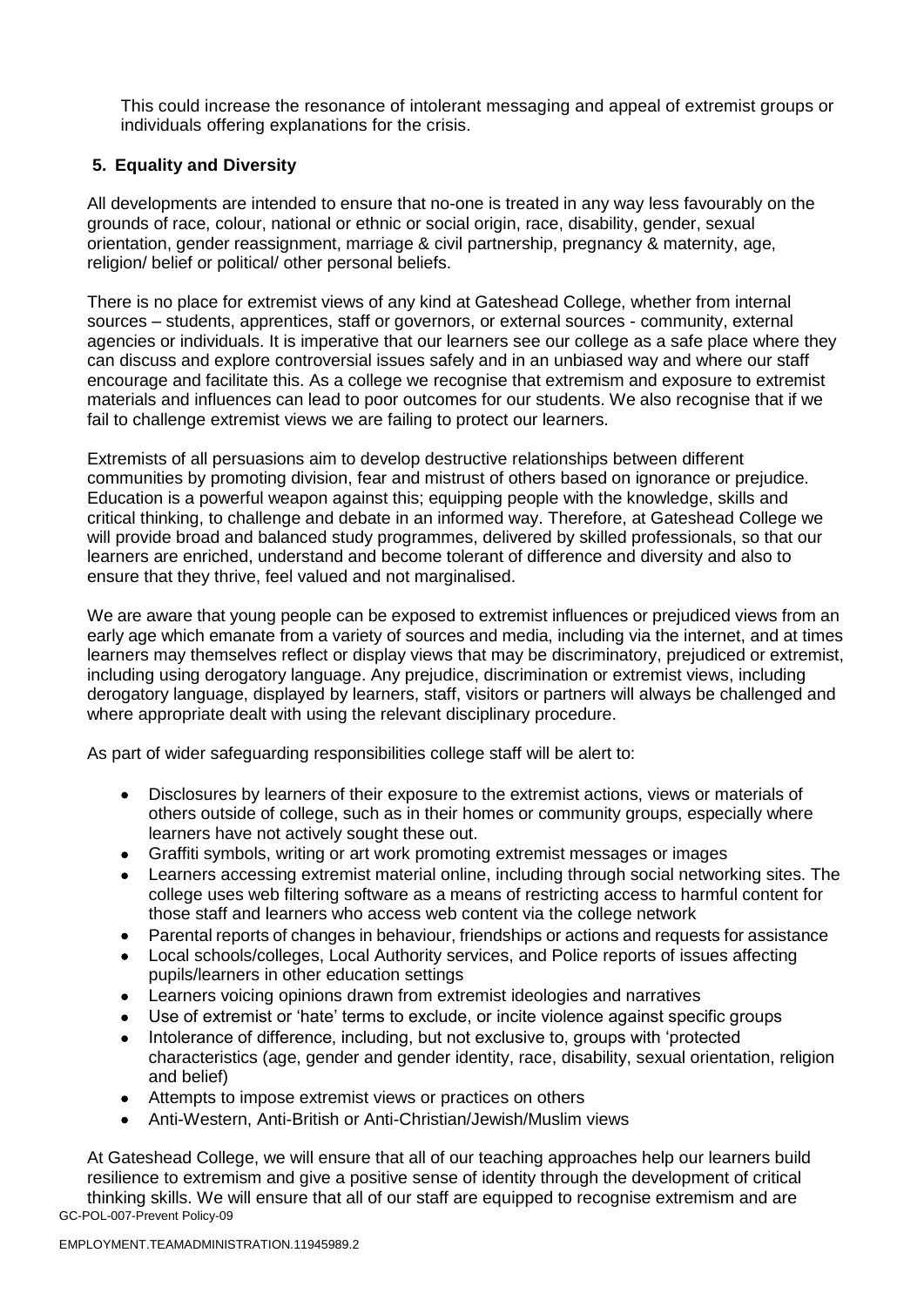This could increase the resonance of intolerant messaging and appeal of extremist groups or individuals offering explanations for the crisis.

## **5. Equality and Diversity**

All developments are intended to ensure that no-one is treated in any way less favourably on the grounds of race, colour, national or ethnic or social origin, race, disability, gender, sexual orientation, gender reassignment, marriage & civil partnership, pregnancy & maternity, age, religion/ belief or political/ other personal beliefs.

There is no place for extremist views of any kind at Gateshead College, whether from internal sources – students, apprentices, staff or governors, or external sources - community, external agencies or individuals. It is imperative that our learners see our college as a safe place where they can discuss and explore controversial issues safely and in an unbiased way and where our staff encourage and facilitate this. As a college we recognise that extremism and exposure to extremist materials and influences can lead to poor outcomes for our students. We also recognise that if we fail to challenge extremist views we are failing to protect our learners.

Extremists of all persuasions aim to develop destructive relationships between different communities by promoting division, fear and mistrust of others based on ignorance or prejudice. Education is a powerful weapon against this; equipping people with the knowledge, skills and critical thinking, to challenge and debate in an informed way. Therefore, at Gateshead College we will provide broad and balanced study programmes, delivered by skilled professionals, so that our learners are enriched, understand and become tolerant of difference and diversity and also to ensure that they thrive, feel valued and not marginalised.

We are aware that young people can be exposed to extremist influences or prejudiced views from an early age which emanate from a variety of sources and media, including via the internet, and at times learners may themselves reflect or display views that may be discriminatory, prejudiced or extremist, including using derogatory language. Any prejudice, discrimination or extremist views, including derogatory language, displayed by learners, staff, visitors or partners will always be challenged and where appropriate dealt with using the relevant disciplinary procedure.

As part of wider safeguarding responsibilities college staff will be alert to:

- Disclosures by learners of their exposure to the extremist actions, views or materials of others outside of college, such as in their homes or community groups, especially where learners have not actively sought these out.
- Graffiti symbols, writing or art work promoting extremist messages or images
- Learners accessing extremist material online, including through social networking sites. The college uses web filtering software as a means of restricting access to harmful content for those staff and learners who access web content via the college network
- Parental reports of changes in behaviour, friendships or actions and requests for assistance
- Local schools/colleges, Local Authority services, and Police reports of issues affecting pupils/learners in other education settings
- Learners voicing opinions drawn from extremist ideologies and narratives
- Use of extremist or 'hate' terms to exclude, or incite violence against specific groups
- Intolerance of difference, including, but not exclusive to, groups with 'protected characteristics (age, gender and gender identity, race, disability, sexual orientation, religion and belief)
- Attempts to impose extremist views or practices on others
- Anti-Western, Anti-British or Anti-Christian/Jewish/Muslim views

GC-POL-007-Prevent Policy-09 At Gateshead College, we will ensure that all of our teaching approaches help our learners build resilience to extremism and give a positive sense of identity through the development of critical thinking skills. We will ensure that all of our staff are equipped to recognise extremism and are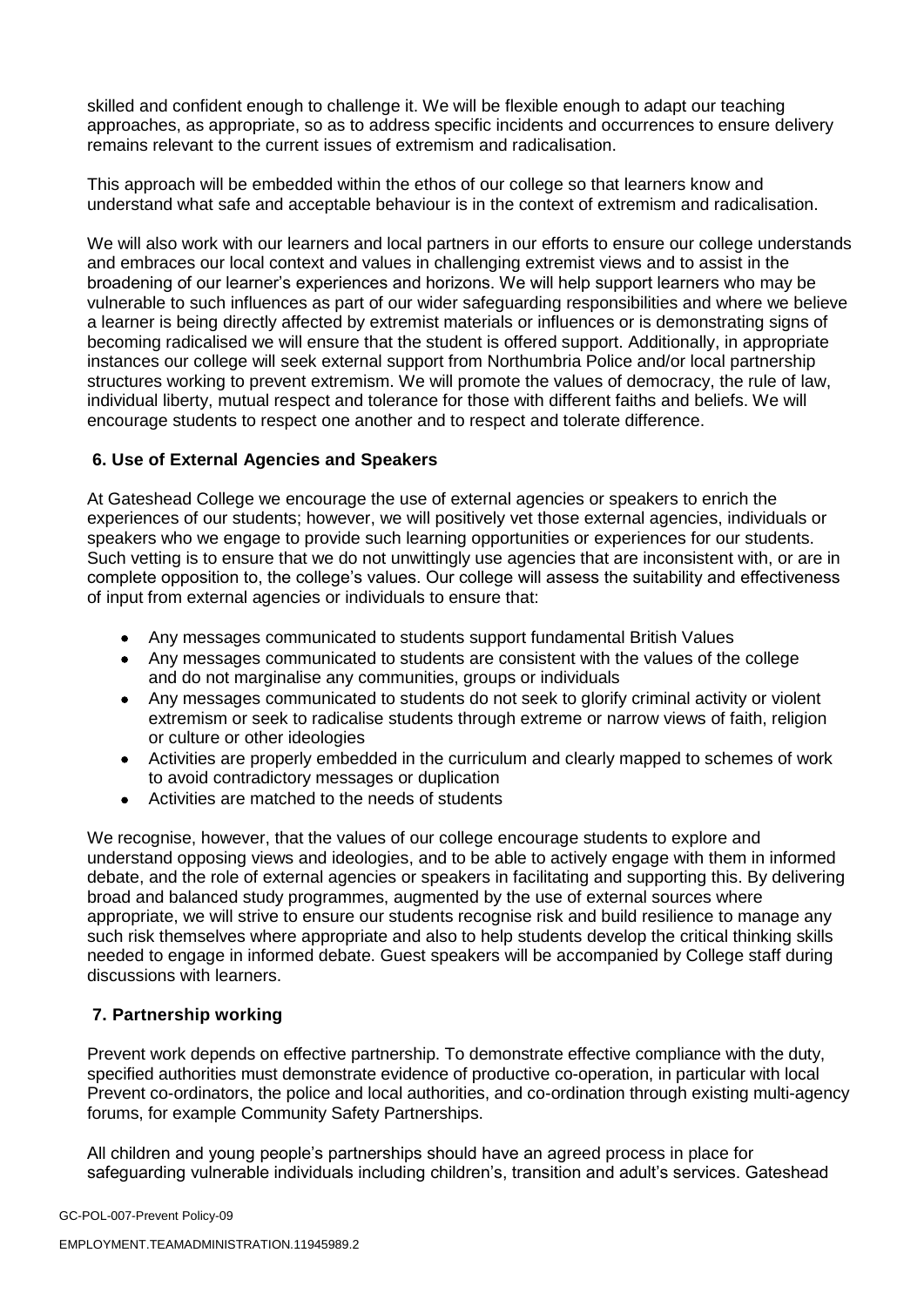skilled and confident enough to challenge it. We will be flexible enough to adapt our teaching approaches, as appropriate, so as to address specific incidents and occurrences to ensure delivery remains relevant to the current issues of extremism and radicalisation.

This approach will be embedded within the ethos of our college so that learners know and understand what safe and acceptable behaviour is in the context of extremism and radicalisation.

We will also work with our learners and local partners in our efforts to ensure our college understands and embraces our local context and values in challenging extremist views and to assist in the broadening of our learner's experiences and horizons. We will help support learners who may be vulnerable to such influences as part of our wider safeguarding responsibilities and where we believe a learner is being directly affected by extremist materials or influences or is demonstrating signs of becoming radicalised we will ensure that the student is offered support. Additionally, in appropriate instances our college will seek external support from Northumbria Police and/or local partnership structures working to prevent extremism. We will promote the values of democracy, the rule of law, individual liberty, mutual respect and tolerance for those with different faiths and beliefs. We will encourage students to respect one another and to respect and tolerate difference.

## **6. Use of External Agencies and Speakers**

At Gateshead College we encourage the use of external agencies or speakers to enrich the experiences of our students; however, we will positively vet those external agencies, individuals or speakers who we engage to provide such learning opportunities or experiences for our students. Such vetting is to ensure that we do not unwittingly use agencies that are inconsistent with, or are in complete opposition to, the college's values. Our college will assess the suitability and effectiveness of input from external agencies or individuals to ensure that:

- Any messages communicated to students support fundamental British Values
- Any messages communicated to students are consistent with the values of the college and do not marginalise any communities, groups or individuals
- Any messages communicated to students do not seek to glorify criminal activity or violent extremism or seek to radicalise students through extreme or narrow views of faith, religion or culture or other ideologies
- Activities are properly embedded in the curriculum and clearly mapped to schemes of work to avoid contradictory messages or duplication
- Activities are matched to the needs of students

We recognise, however, that the values of our college encourage students to explore and understand opposing views and ideologies, and to be able to actively engage with them in informed debate, and the role of external agencies or speakers in facilitating and supporting this. By delivering broad and balanced study programmes, augmented by the use of external sources where appropriate, we will strive to ensure our students recognise risk and build resilience to manage any such risk themselves where appropriate and also to help students develop the critical thinking skills needed to engage in informed debate. Guest speakers will be accompanied by College staff during discussions with learners.

## **7. Partnership working**

Prevent work depends on effective partnership. To demonstrate effective compliance with the duty, specified authorities must demonstrate evidence of productive co-operation, in particular with local Prevent co-ordinators, the police and local authorities, and co-ordination through existing multi-agency forums, for example Community Safety Partnerships.

All children and young people's partnerships should have an agreed process in place for safeguarding vulnerable individuals including children's, transition and adult's services. Gateshead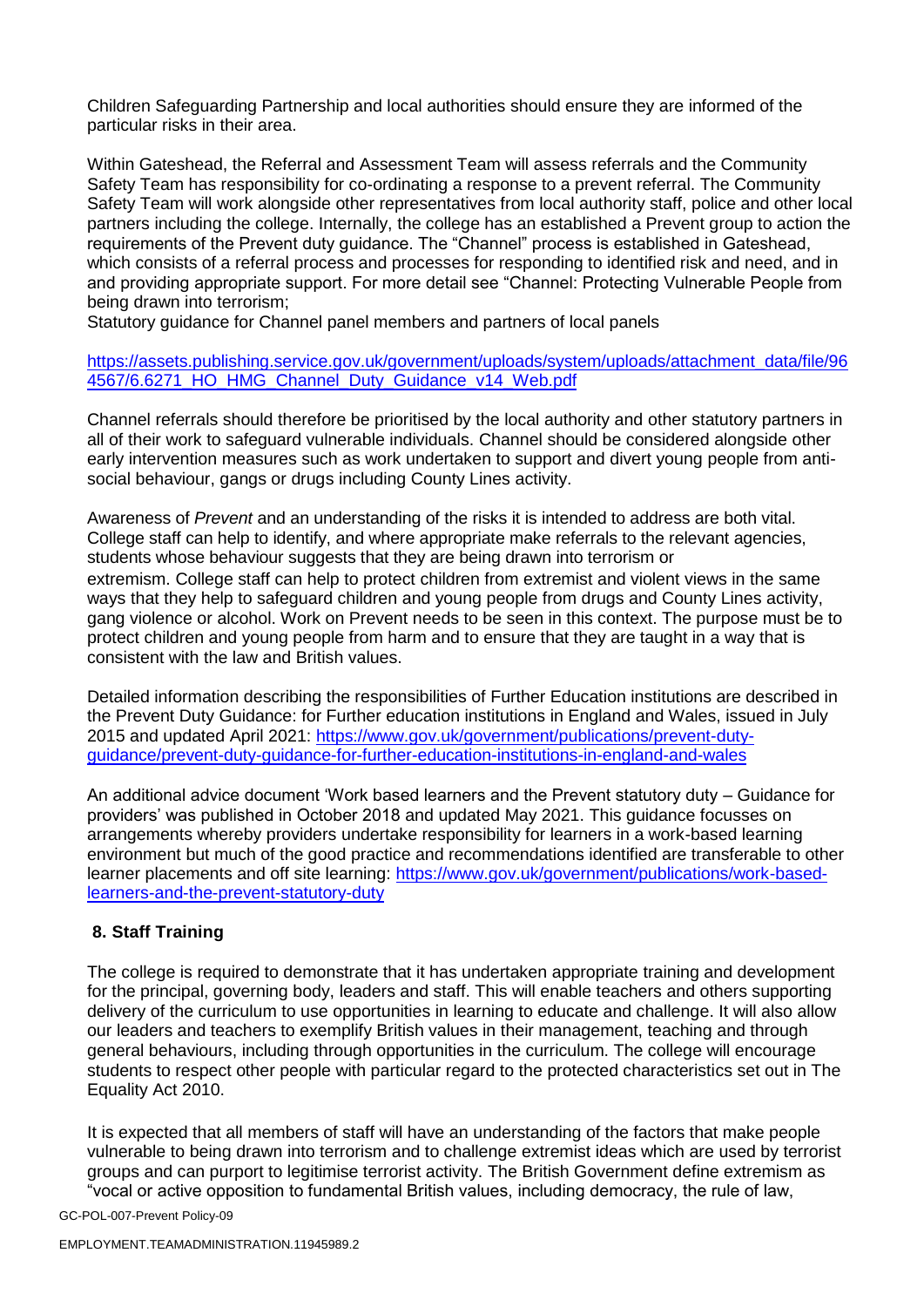Children Safeguarding Partnership and local authorities should ensure they are informed of the particular risks in their area.

Within Gateshead, the Referral and Assessment Team will assess referrals and the Community Safety Team has responsibility for co-ordinating a response to a prevent referral. The Community Safety Team will work alongside other representatives from local authority staff, police and other local partners including the college. Internally, the college has an established a Prevent group to action the requirements of the Prevent duty guidance. The "Channel" process is established in Gateshead, which consists of a referral process and processes for responding to identified risk and need, and in and providing appropriate support. For more detail see "Channel: Protecting Vulnerable People from being drawn into terrorism;

Statutory guidance for Channel panel members and partners of local panels

#### https://assets.publishing.service.gov.uk/government/uploads/system/uploads/attachment\_data/file/96 4567/6.6271\_HO\_HMG\_Channel\_Duty\_Guidance\_v14\_Web.pdf

Channel referrals should therefore be prioritised by the local authority and other statutory partners in all of their work to safeguard vulnerable individuals. Channel should be considered alongside other early intervention measures such as work undertaken to support and divert young people from antisocial behaviour, gangs or drugs including County Lines activity.

Awareness of *Prevent* and an understanding of the risks it is intended to address are both vital. College staff can help to identify, and where appropriate make referrals to the relevant agencies, students whose behaviour suggests that they are being drawn into terrorism or extremism. College staff can help to protect children from extremist and violent views in the same ways that they help to safeguard children and young people from drugs and County Lines activity, gang violence or alcohol. Work on Prevent needs to be seen in this context. The purpose must be to protect children and young people from harm and to ensure that they are taught in a way that is consistent with the law and British values.

Detailed information describing the responsibilities of Further Education institutions are described in the Prevent Duty Guidance: for Further education institutions in England and Wales, issued in July 2015 and updated April 2021: [https://www.gov.uk/government/publications/prevent-duty](https://www.gov.uk/government/publications/prevent-duty-guidance/prevent-duty-guidance-for-further-education-institutions-in-england-and-wales)[guidance/prevent-duty-guidance-for-further-education-institutions-in-england-and-wales](https://www.gov.uk/government/publications/prevent-duty-guidance/prevent-duty-guidance-for-further-education-institutions-in-england-and-wales)

An additional advice document 'Work based learners and the Prevent statutory duty – Guidance for providers' was published in October 2018 and updated May 2021. This guidance focusses on arrangements whereby providers undertake responsibility for learners in a work-based learning environment but much of the good practice and recommendations identified are transferable to other learner placements and off site learning: [https://www.gov.uk/government/publications/work-based](https://www.gov.uk/government/publications/work-based-learners-and-the-prevent-statutory-duty)[learners-and-the-prevent-statutory-duty](https://www.gov.uk/government/publications/work-based-learners-and-the-prevent-statutory-duty)

## **8. Staff Training**

The college is required to demonstrate that it has undertaken appropriate training and development for the principal, governing body, leaders and staff. This will enable teachers and others supporting delivery of the curriculum to use opportunities in learning to educate and challenge. It will also allow our leaders and teachers to exemplify British values in their management, teaching and through general behaviours, including through opportunities in the curriculum. The college will encourage students to respect other people with particular regard to the protected characteristics set out in The Equality Act 2010.

It is expected that all members of staff will have an understanding of the factors that make people vulnerable to being drawn into terrorism and to challenge extremist ideas which are used by terrorist groups and can purport to legitimise terrorist activity. The British Government define extremism as "vocal or active opposition to fundamental British values, including democracy, the rule of law,

GC-POL-007-Prevent Policy-09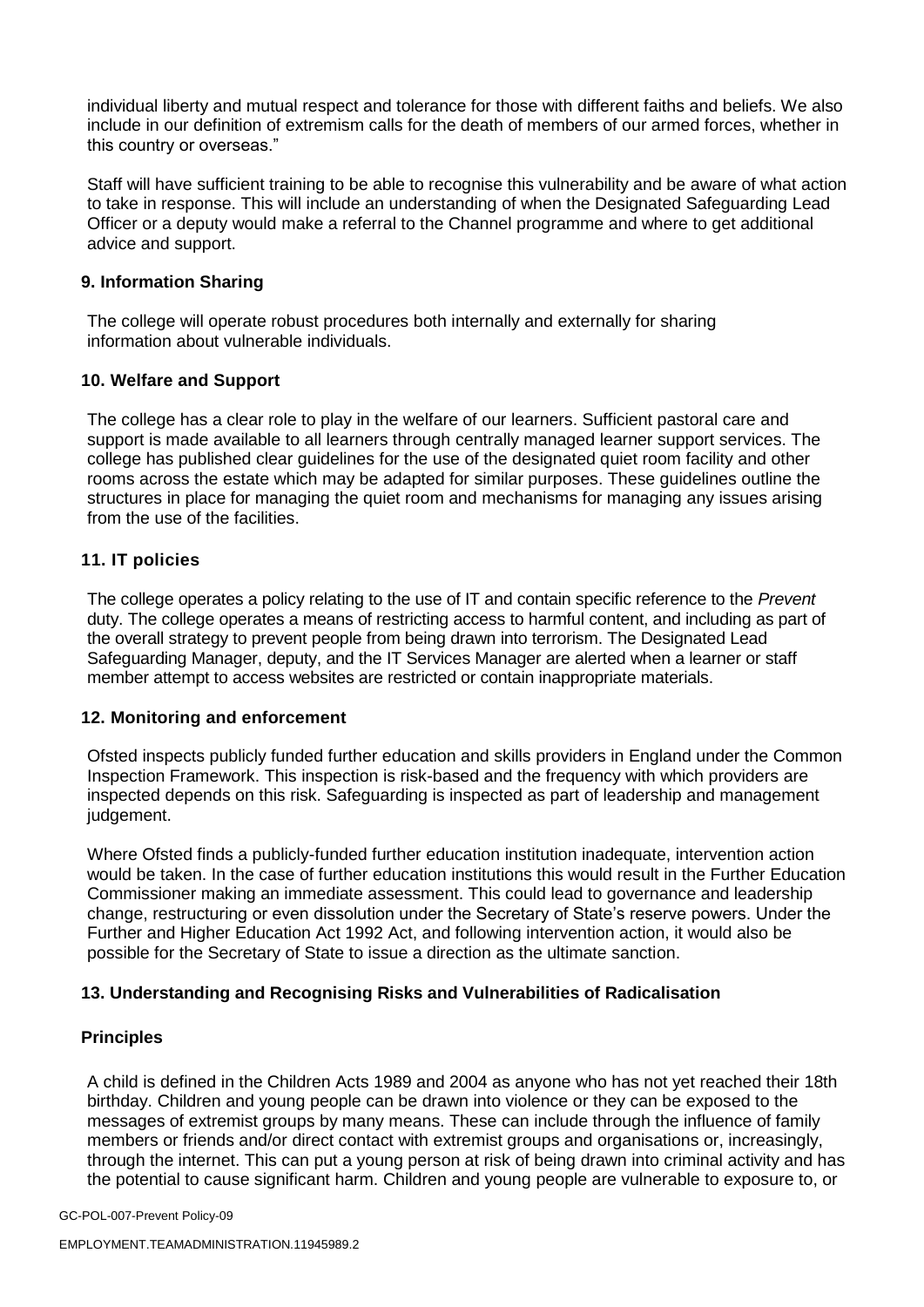individual liberty and mutual respect and tolerance for those with different faiths and beliefs. We also include in our definition of extremism calls for the death of members of our armed forces, whether in this country or overseas."

Staff will have sufficient training to be able to recognise this vulnerability and be aware of what action to take in response. This will include an understanding of when the Designated Safeguarding Lead Officer or a deputy would make a referral to the Channel programme and where to get additional advice and support.

#### **9. Information Sharing**

The college will operate robust procedures both internally and externally for sharing information about vulnerable individuals.

#### **10. Welfare and Support**

The college has a clear role to play in the welfare of our learners. Sufficient pastoral care and support is made available to all learners through centrally managed learner support services. The college has published clear guidelines for the use of the designated quiet room facility and other rooms across the estate which may be adapted for similar purposes. These guidelines outline the structures in place for managing the quiet room and mechanisms for managing any issues arising from the use of the facilities.

## **11. IT policies**

The college operates a policy relating to the use of IT and contain specific reference to the *Prevent*  duty. The college operates a means of restricting access to harmful content, and including as part of the overall strategy to prevent people from being drawn into terrorism. The Designated Lead Safeguarding Manager, deputy, and the IT Services Manager are alerted when a learner or staff member attempt to access websites are restricted or contain inappropriate materials.

#### **12. Monitoring and enforcement**

Ofsted inspects publicly funded further education and skills providers in England under the Common Inspection Framework. This inspection is risk-based and the frequency with which providers are inspected depends on this risk. Safeguarding is inspected as part of leadership and management judgement.

Where Ofsted finds a publicly-funded further education institution inadequate, intervention action would be taken. In the case of further education institutions this would result in the Further Education Commissioner making an immediate assessment. This could lead to governance and leadership change, restructuring or even dissolution under the Secretary of State's reserve powers. Under the Further and Higher Education Act 1992 Act, and following intervention action, it would also be possible for the Secretary of State to issue a direction as the ultimate sanction.

#### **13. Understanding and Recognising Risks and Vulnerabilities of Radicalisation**

#### **Principles**

A child is defined in the Children Acts 1989 and 2004 as anyone who has not yet reached their 18th birthday. Children and young people can be drawn into violence or they can be exposed to the messages of extremist groups by many means. These can include through the influence of family members or friends and/or direct contact with extremist groups and organisations or, increasingly, through the internet. This can put a young person at risk of being drawn into criminal activity and has the potential to cause significant harm. Children and young people are vulnerable to exposure to, or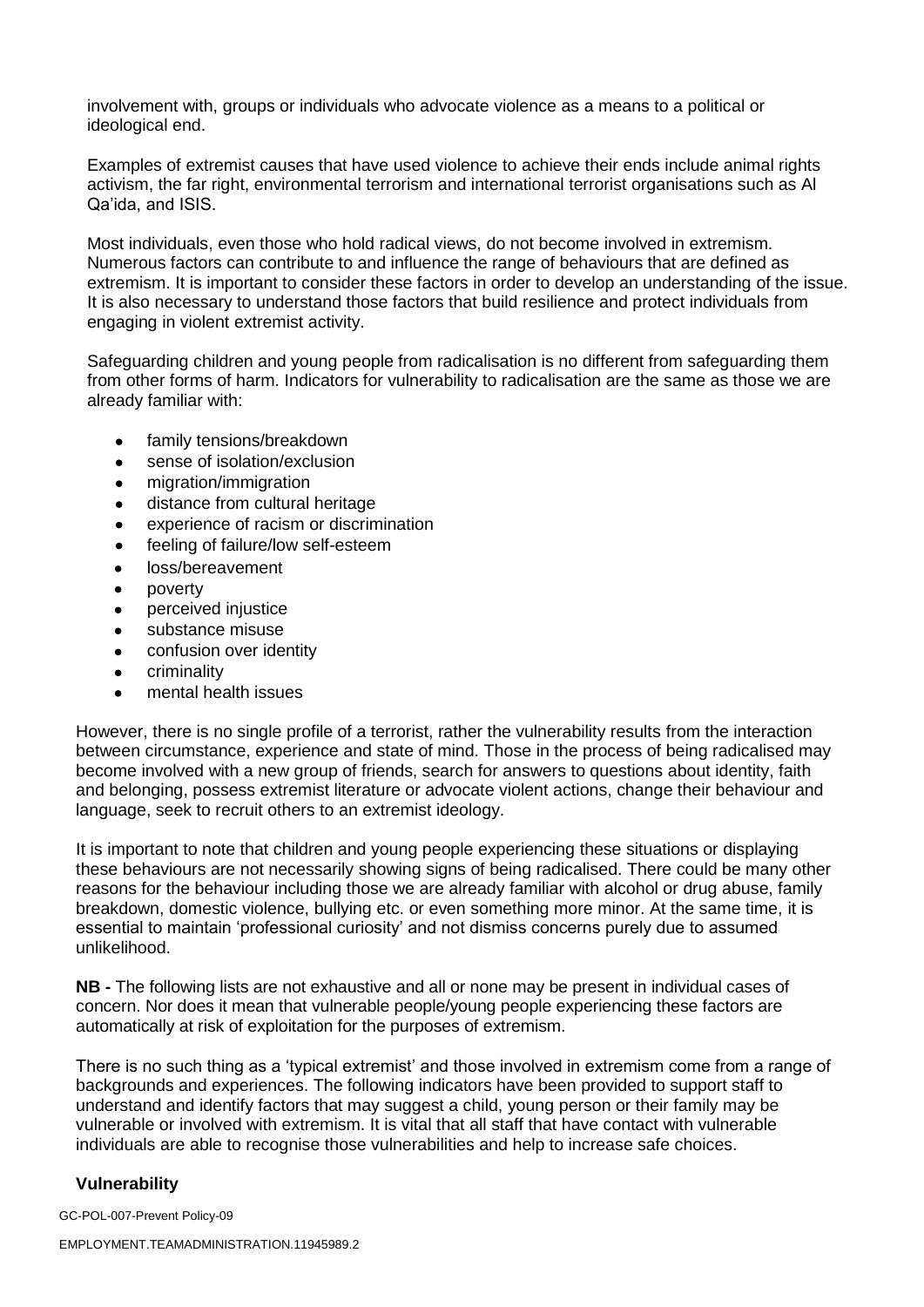involvement with, groups or individuals who advocate violence as a means to a political or ideological end.

Examples of extremist causes that have used violence to achieve their ends include animal rights activism, the far right, environmental terrorism and international terrorist organisations such as Al Qa'ida, and ISIS.

Most individuals, even those who hold radical views, do not become involved in extremism. Numerous factors can contribute to and influence the range of behaviours that are defined as extremism. It is important to consider these factors in order to develop an understanding of the issue. It is also necessary to understand those factors that build resilience and protect individuals from engaging in violent extremist activity.

Safeguarding children and young people from radicalisation is no different from safeguarding them from other forms of harm. Indicators for vulnerability to radicalisation are the same as those we are already familiar with:

- family tensions/breakdown
- sense of isolation/exclusion
- migration/immigration
- distance from cultural heritage
- experience of racism or discrimination
- feeling of failure/low self-esteem
- loss/bereavement
- poverty
- perceived injustice
- substance misuse
- confusion over identity
- criminality
- mental health issues

However, there is no single profile of a terrorist, rather the vulnerability results from the interaction between circumstance, experience and state of mind. Those in the process of being radicalised may become involved with a new group of friends, search for answers to questions about identity, faith and belonging, possess extremist literature or advocate violent actions, change their behaviour and language, seek to recruit others to an extremist ideology.

It is important to note that children and young people experiencing these situations or displaying these behaviours are not necessarily showing signs of being radicalised. There could be many other reasons for the behaviour including those we are already familiar with alcohol or drug abuse, family breakdown, domestic violence, bullying etc. or even something more minor. At the same time, it is essential to maintain 'professional curiosity' and not dismiss concerns purely due to assumed unlikelihood.

**NB -** The following lists are not exhaustive and all or none may be present in individual cases of concern. Nor does it mean that vulnerable people/young people experiencing these factors are automatically at risk of exploitation for the purposes of extremism.

There is no such thing as a 'typical extremist' and those involved in extremism come from a range of backgrounds and experiences. The following indicators have been provided to support staff to understand and identify factors that may suggest a child, young person or their family may be vulnerable or involved with extremism. It is vital that all staff that have contact with vulnerable individuals are able to recognise those vulnerabilities and help to increase safe choices.

#### **Vulnerability**

GC-POL-007-Prevent Policy-09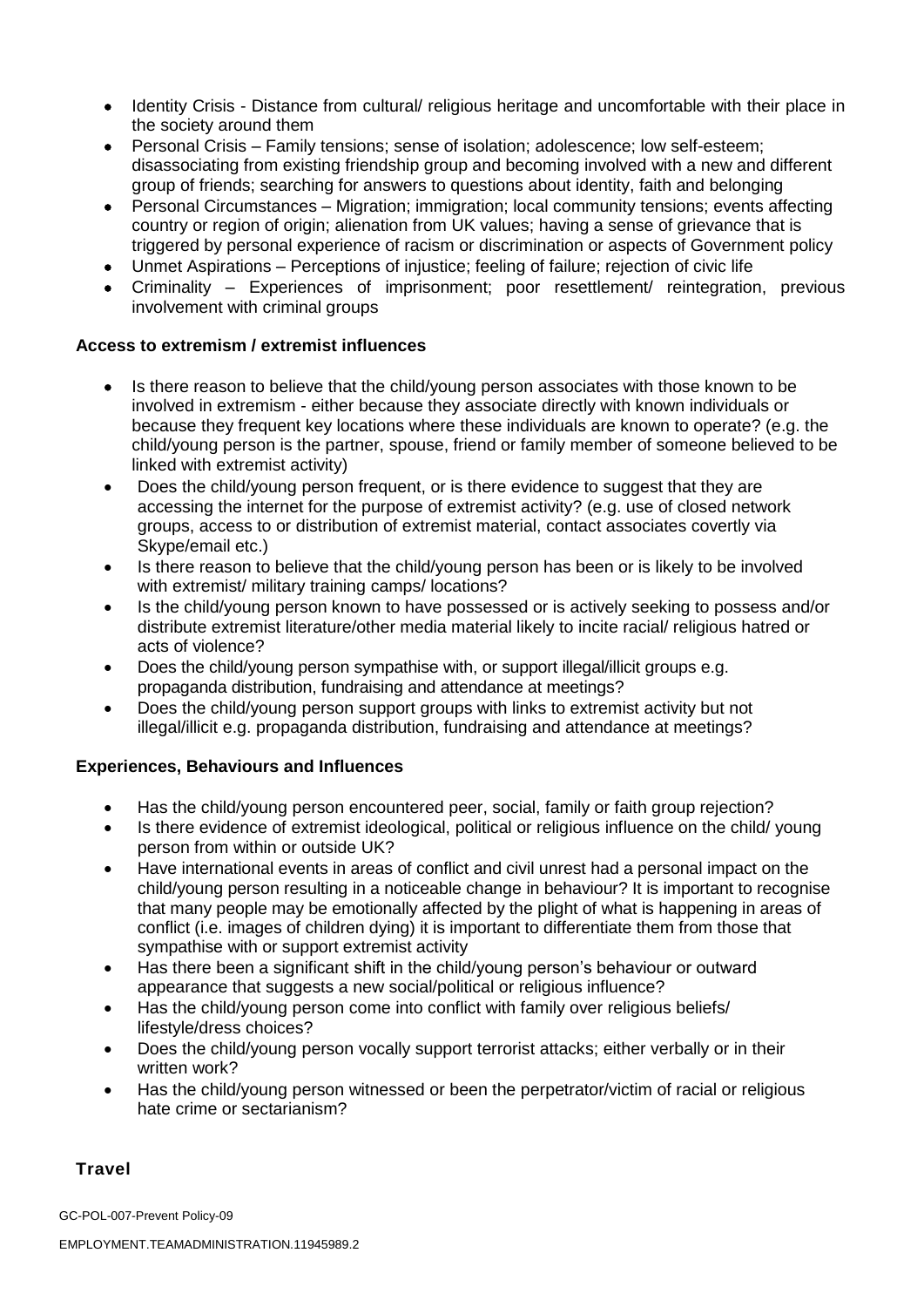- Identity Crisis Distance from cultural/ religious heritage and uncomfortable with their place in the society around them
- Personal Crisis Family tensions; sense of isolation; adolescence; low self-esteem; disassociating from existing friendship group and becoming involved with a new and different group of friends; searching for answers to questions about identity, faith and belonging
- Personal Circumstances Migration; immigration; local community tensions; events affecting country or region of origin; alienation from UK values; having a sense of grievance that is triggered by personal experience of racism or discrimination or aspects of Government policy
- Unmet Aspirations Perceptions of injustice; feeling of failure; rejection of civic life
- Criminality Experiences of imprisonment; poor resettlement/ reintegration, previous involvement with criminal groups

## **Access to extremism / extremist influences**

- Is there reason to believe that the child/young person associates with those known to be involved in extremism - either because they associate directly with known individuals or because they frequent key locations where these individuals are known to operate? (e.g. the child/young person is the partner, spouse, friend or family member of someone believed to be linked with extremist activity)
- Does the child/young person frequent, or is there evidence to suggest that they are accessing the internet for the purpose of extremist activity? (e.g. use of closed network groups, access to or distribution of extremist material, contact associates covertly via Skype/email etc.)
- Is there reason to believe that the child/young person has been or is likely to be involved with extremist/ military training camps/ locations?
- Is the child/young person known to have possessed or is actively seeking to possess and/or distribute extremist literature/other media material likely to incite racial/ religious hatred or acts of violence?
- Does the child/young person sympathise with, or support illegal/illicit groups e.g. propaganda distribution, fundraising and attendance at meetings?
- Does the child/young person support groups with links to extremist activity but not illegal/illicit e.g. propaganda distribution, fundraising and attendance at meetings?

## **Experiences, Behaviours and Influences**

- Has the child/young person encountered peer, social, family or faith group rejection?
- Is there evidence of extremist ideological, political or religious influence on the child/ young person from within or outside UK?
- Have international events in areas of conflict and civil unrest had a personal impact on the child/young person resulting in a noticeable change in behaviour? It is important to recognise that many people may be emotionally affected by the plight of what is happening in areas of conflict (i.e. images of children dying) it is important to differentiate them from those that sympathise with or support extremist activity
- Has there been a significant shift in the child/young person's behaviour or outward appearance that suggests a new social/political or religious influence?
- Has the child/young person come into conflict with family over religious beliefs/ lifestyle/dress choices?
- Does the child/young person vocally support terrorist attacks; either verbally or in their written work?
- Has the child/young person witnessed or been the perpetrator/victim of racial or religious hate crime or sectarianism?

## **Travel**

GC-POL-007-Prevent Policy-09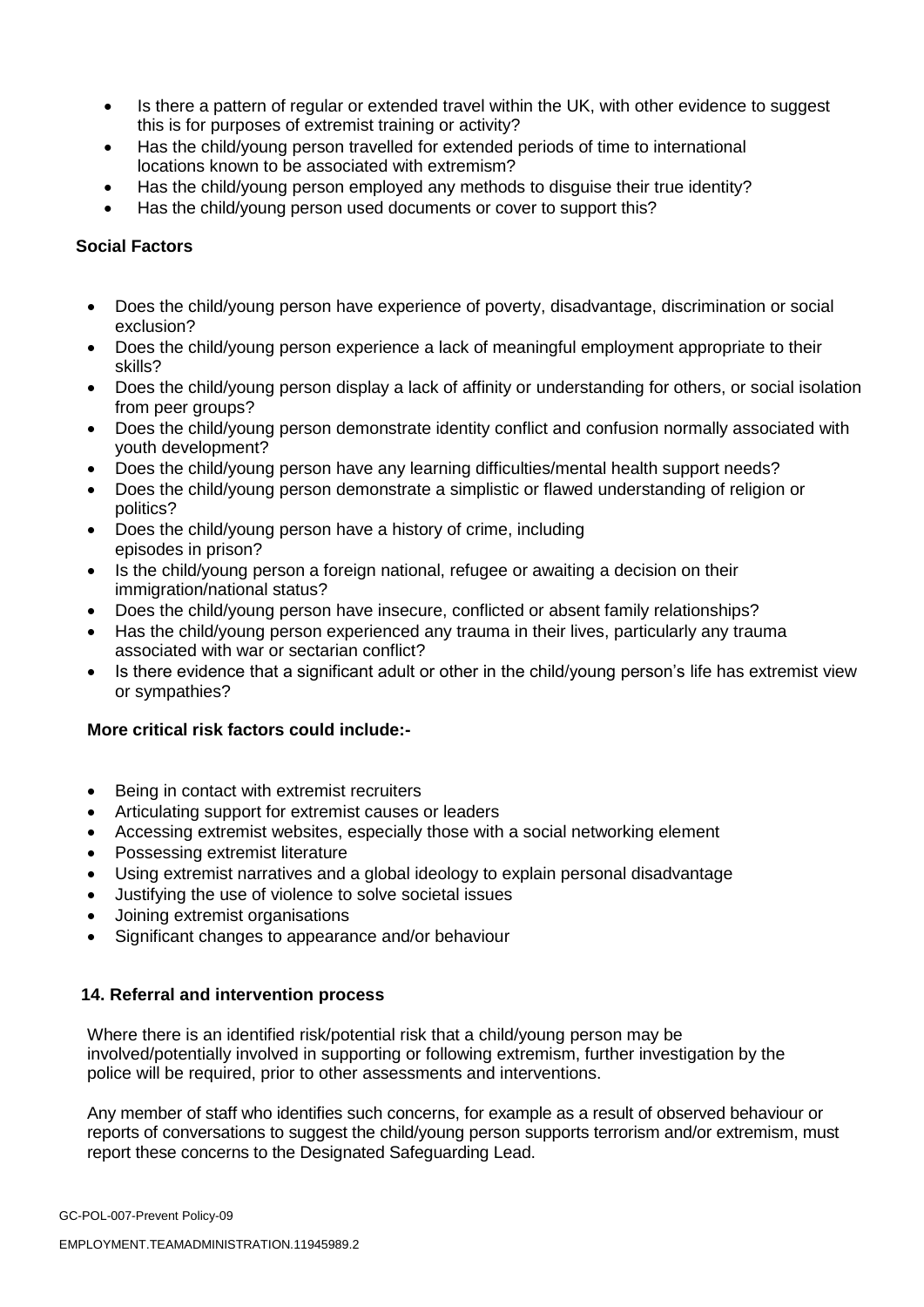- Is there a pattern of regular or extended travel within the UK, with other evidence to suggest this is for purposes of extremist training or activity?
- Has the child/young person travelled for extended periods of time to international locations known to be associated with extremism?
- Has the child/young person employed any methods to disguise their true identity?
- Has the child/young person used documents or cover to support this?

## **Social Factors**

- Does the child/young person have experience of poverty, disadvantage, discrimination or social exclusion?
- Does the child/young person experience a lack of meaningful employment appropriate to their skills?
- Does the child/young person display a lack of affinity or understanding for others, or social isolation from peer groups?
- Does the child/young person demonstrate identity conflict and confusion normally associated with youth development?
- Does the child/young person have any learning difficulties/mental health support needs?
- Does the child/young person demonstrate a simplistic or flawed understanding of religion or politics?
- Does the child/young person have a history of crime, including episodes in prison?
- Is the child/young person a foreign national, refugee or awaiting a decision on their immigration/national status?
- Does the child/young person have insecure, conflicted or absent family relationships?
- Has the child/young person experienced any trauma in their lives, particularly any trauma associated with war or sectarian conflict?
- Is there evidence that a significant adult or other in the child/voung person's life has extremist view or sympathies?

## **More critical risk factors could include:-**

- Being in contact with extremist recruiters
- Articulating support for extremist causes or leaders
- Accessing extremist websites, especially those with a social networking element
- Possessing extremist literature
- Using extremist narratives and a global ideology to explain personal disadvantage
- Justifying the use of violence to solve societal issues
- Joining extremist organisations
- Significant changes to appearance and/or behaviour

#### **14. Referral and intervention process**

Where there is an identified risk/potential risk that a child/young person may be involved/potentially involved in supporting or following extremism, further investigation by the police will be required, prior to other assessments and interventions.

Any member of staff who identifies such concerns, for example as a result of observed behaviour or reports of conversations to suggest the child/young person supports terrorism and/or extremism, must report these concerns to the Designated Safeguarding Lead.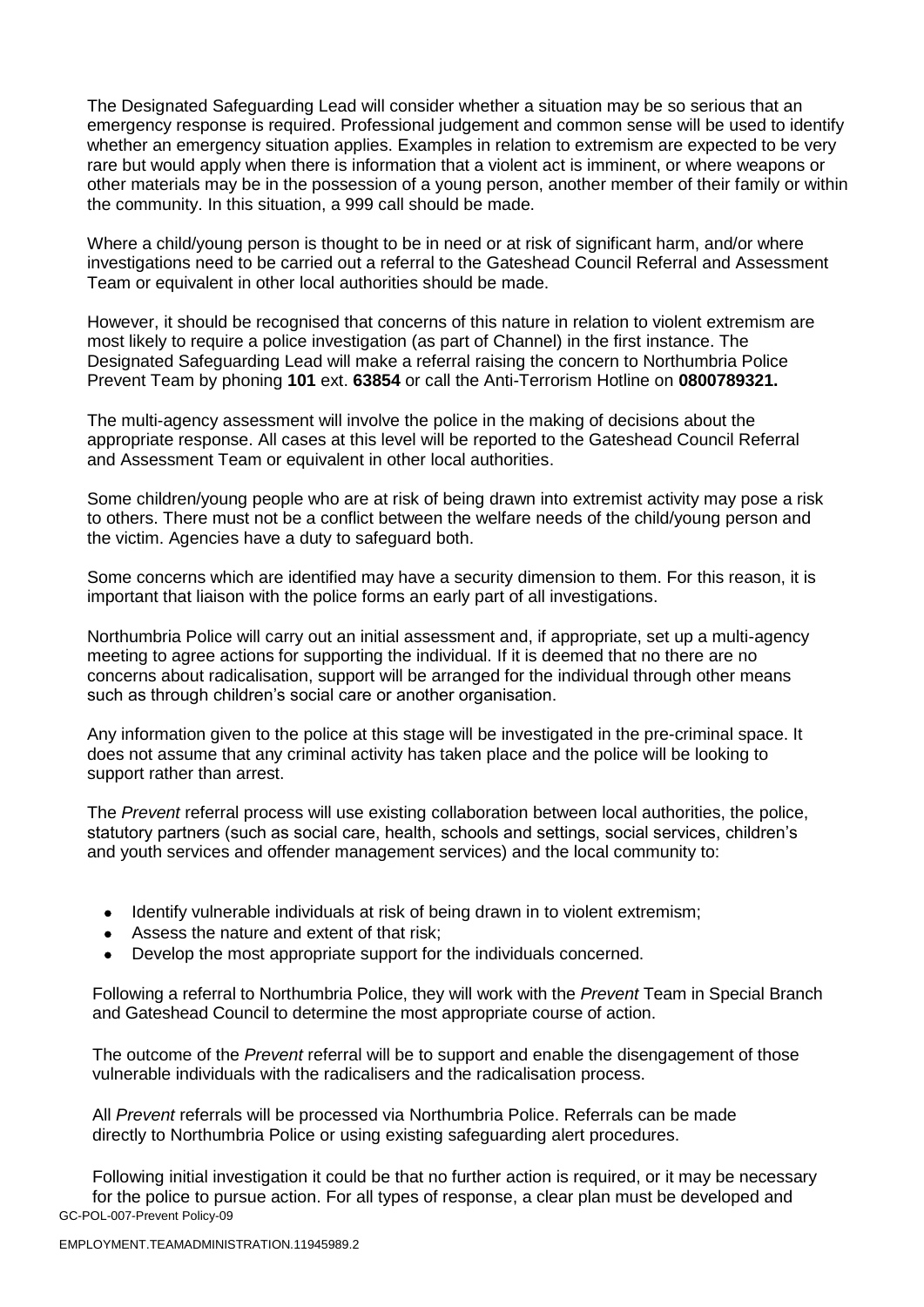The Designated Safeguarding Lead will consider whether a situation may be so serious that an emergency response is required. Professional judgement and common sense will be used to identify whether an emergency situation applies. Examples in relation to extremism are expected to be very rare but would apply when there is information that a violent act is imminent, or where weapons or other materials may be in the possession of a young person, another member of their family or within the community. In this situation, a 999 call should be made.

Where a child/voung person is thought to be in need or at risk of significant harm, and/or where investigations need to be carried out a referral to the Gateshead Council Referral and Assessment Team or equivalent in other local authorities should be made.

However, it should be recognised that concerns of this nature in relation to violent extremism are most likely to require a police investigation (as part of Channel) in the first instance. The Designated Safeguarding Lead will make a referral raising the concern to Northumbria Police Prevent Team by phoning **101** ext. **63854** or call the Anti-Terrorism Hotline on **0800789321.**

The multi-agency assessment will involve the police in the making of decisions about the appropriate response. All cases at this level will be reported to the Gateshead Council Referral and Assessment Team or equivalent in other local authorities.

Some children/young people who are at risk of being drawn into extremist activity may pose a risk to others. There must not be a conflict between the welfare needs of the child/young person and the victim. Agencies have a duty to safeguard both.

Some concerns which are identified may have a security dimension to them. For this reason, it is important that liaison with the police forms an early part of all investigations.

Northumbria Police will carry out an initial assessment and, if appropriate, set up a multi-agency meeting to agree actions for supporting the individual. If it is deemed that no there are no concerns about radicalisation, support will be arranged for the individual through other means such as through children's social care or another organisation.

Any information given to the police at this stage will be investigated in the pre-criminal space. It does not assume that any criminal activity has taken place and the police will be looking to support rather than arrest.

The *Prevent* referral process will use existing collaboration between local authorities, the police, statutory partners (such as social care, health, schools and settings, social services, children's and youth services and offender management services) and the local community to:

- Identify vulnerable individuals at risk of being drawn in to violent extremism;
- Assess the nature and extent of that risk;
- Develop the most appropriate support for the individuals concerned.

Following a referral to Northumbria Police, they will work with the *Prevent* Team in Special Branch and Gateshead Council to determine the most appropriate course of action.

The outcome of the *Prevent* referral will be to support and enable the disengagement of those vulnerable individuals with the radicalisers and the radicalisation process.

All *Prevent* referrals will be processed via Northumbria Police. Referrals can be made directly to Northumbria Police or using existing safeguarding alert procedures.

GC-POL-007-Prevent Policy-09 Following initial investigation it could be that no further action is required, or it may be necessary for the police to pursue action. For all types of response, a clear plan must be developed and